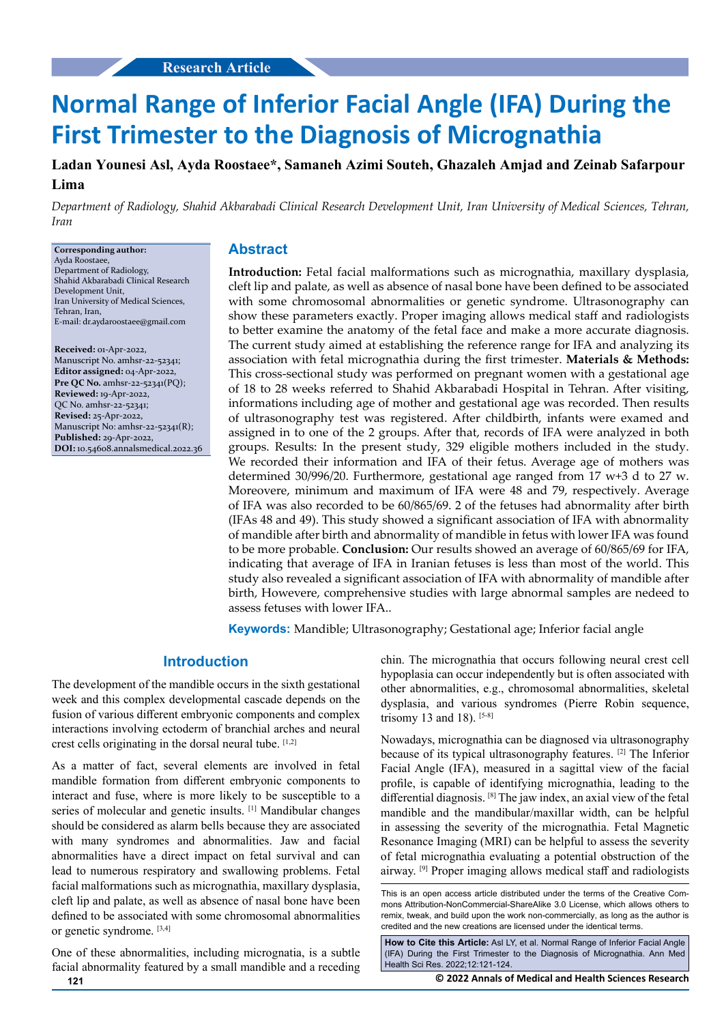# **Normal Range of Inferior Facial Angle (IFA) During the First Trimester to the Diagnosis of Micrognathia**

**Ladan Younesi Asl, Ayda Roostaee\*, Samaneh Azimi Souteh, Ghazaleh Amjad and Zeinab Safarpour Lima**

*Department of Radiology, Shahid Akbarabadi Clinical Research Development Unit, Iran University of Medical Sciences, Tehran, Iran*

#### **Corresponding author:** Ayda Roostaee,

Department of Radiology, Shahid Akbarabadi Clinical Research Development Unit, Iran University of Medical Sciences, Tehran, Iran, E-mail: dr.aydaroostaee@gmail.com

**Received:** 01-Apr-2022, Manuscript No. amhsr-22-52341; **Editor assigned:** 04-Apr-2022, **Pre QC No.** amhsr-22-52341(PQ); **Reviewed:** 19-Apr-2022, QC No. amhsr-22-52341; **Revised:** 25-Apr-2022, Manuscript No: amhsr-22-52341(R); **Published:** 29-Apr-2022, **DOI:** 10.54608.annalsmedical.2022.36

## **Abstract**

**Introduction:** Fetal facial malformations such as micrognathia, maxillary dysplasia, cleft lip and palate, as well as absence of nasal bone have been defined to be associated with some chromosomal abnormalities or genetic syndrome. Ultrasonography can show these parameters exactly. Proper imaging allows medical staff and radiologists to better examine the anatomy of the fetal face and make a more accurate diagnosis. The current study aimed at establishing the reference range for IFA and analyzing its association with fetal micrognathia during the first trimester. **Materials & Methods:** This cross-sectional study was performed on pregnant women with a gestational age of 18 to 28 weeks referred to Shahid Akbarabadi Hospital in Tehran. After visiting, informations including age of mother and gestational age was recorded. Then results of ultrasonography test was registered. After childbirth, infants were examed and assigned in to one of the 2 groups. After that, records of IFA were analyzed in both groups. Results: In the present study, 329 eligible mothers included in the study. We recorded their information and IFA of their fetus. Average age of mothers was determined 30/996/20. Furthermore, gestational age ranged from 17 w+3 d to 27 w. Moreovere, minimum and maximum of IFA were 48 and 79, respectively. Average of IFA was also recorded to be 60/865/69. 2 of the fetuses had abnormality after birth (IFAs 48 and 49). This study showed a significant association of IFA with abnormality of mandible after birth and abnormality of mandible in fetus with lower IFA was found to be more probable. **Conclusion:** Our results showed an average of 60/865/69 for IFA, indicating that average of IFA in Iranian fetuses is less than most of the world. This study also revealed a significant association of IFA with abnormality of mandible after birth, Howevere, comprehensive studies with large abnormal samples are nedeed to assess fetuses with lower IFA..

**Keywords:** Mandible; Ultrasonography; Gestational age; Inferior facial angle

## **Introduction**

The development of the mandible occurs in the sixth gestational week and this complex developmental cascade depends on the fusion of various different embryonic components and complex interactions involving ectoderm of branchial arches and neural crest cells originating in the dorsal neural tube.  $[1,2]$ 

As a matter of fact, several elements are involved in fetal mandible formation from different embryonic components to interact and fuse, where is more likely to be susceptible to a series of molecular and genetic insults. [1] Mandibular changes should be considered as alarm bells because they are associated with many syndromes and abnormalities. Jaw and facial abnormalities have a direct impact on fetal survival and can lead to numerous respiratory and swallowing problems. Fetal facial malformations such as micrognathia, maxillary dysplasia, cleft lip and palate, as well as absence of nasal bone have been defined to be associated with some chromosomal abnormalities or genetic syndrome. [3,4]

One of these abnormalities, including micrognatia, is a subtle facial abnormality featured by a small mandible and a receding chin. The micrognathia that occurs following neural crest cell hypoplasia can occur independently but is often associated with other abnormalities, e.g., chromosomal abnormalities, skeletal dysplasia, and various syndromes (Pierre Robin sequence, trisomy 13 and 18). [5-8]

Nowadays, micrognathia can be diagnosed via ultrasonography because of its typical ultrasonography features. [2] The Inferior Facial Angle (IFA), measured in a sagittal view of the facial profile, is capable of identifying micrognathia, leading to the differential diagnosis. [8] The jaw index, an axial view of the fetal mandible and the mandibular/maxillar width, can be helpful in assessing the severity of the micrognathia. Fetal Magnetic Resonance Imaging (MRI) can be helpful to assess the severity of fetal micrognathia evaluating a potential obstruction of the airway. [9] Proper imaging allows medical staff and radiologists

**How to Cite this Article:** Asl LY, et al. Normal Range of Inferior Facial Angle (IFA) During the First Trimester to the Diagnosis of Micrognathia. Ann Med Health Sci Res. 2022;12:121-124.

**121 © 2022 Annals of Medical and Health Sciences Research** 

This is an open access article distributed under the terms of the Creative Commons Attribution-NonCommercial-ShareAlike 3.0 License, which allows others to remix, tweak, and build upon the work non-commercially, as long as the author is credited and the new creations are licensed under the identical terms.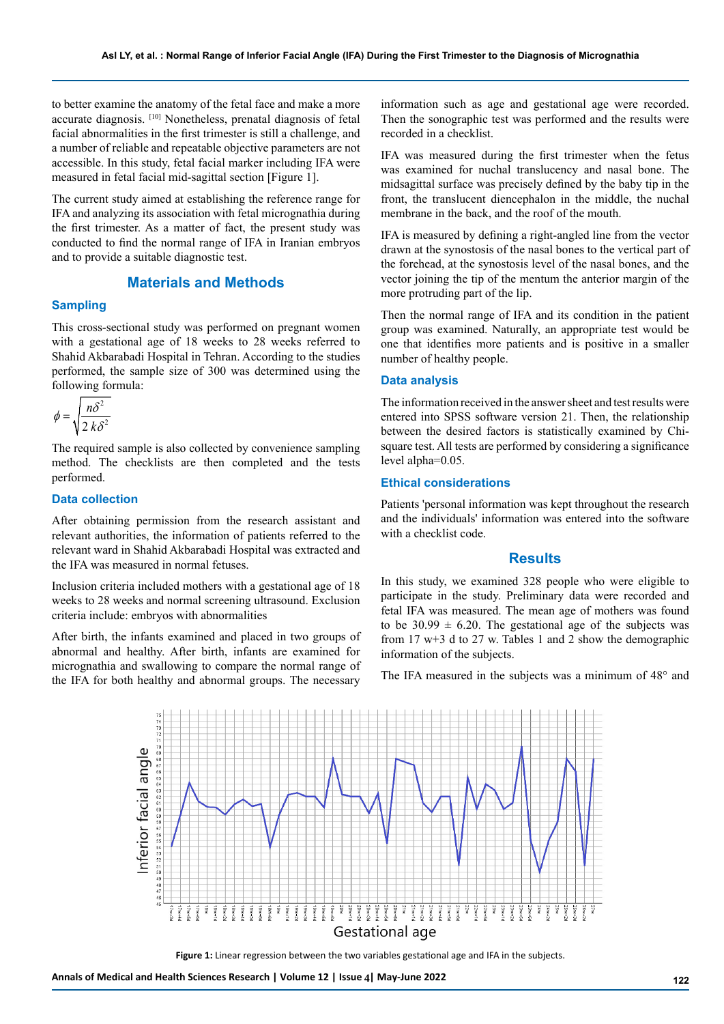to better examine the anatomy of the fetal face and make a more accurate diagnosis. [10] Nonetheless, prenatal diagnosis of fetal facial abnormalities in the first trimester is still a challenge, and a number of reliable and repeatable objective parameters are not accessible. In this study, fetal facial marker including IFA were measured in fetal facial mid-sagittal section [Figure 1].

The current study aimed at establishing the reference range for IFA and analyzing its association with fetal micrognathia during the first trimester. As a matter of fact, the present study was conducted to find the normal range of IFA in Iranian embryos and to provide a suitable diagnostic test.

# **Materials and Methods**

## **Sampling**

This cross-sectional study was performed on pregnant women with a gestational age of 18 weeks to 28 weeks referred to Shahid Akbarabadi Hospital in Tehran. According to the studies performed, the sample size of 300 was determined using the following formula:

$$
\phi = \sqrt{\frac{n\delta^2}{2\,k\delta^2}}
$$

The required sample is also collected by convenience sampling method. The checklists are then completed and the tests performed.

## **Data collection**

After obtaining permission from the research assistant and relevant authorities, the information of patients referred to the relevant ward in Shahid Akbarabadi Hospital was extracted and the IFA was measured in normal fetuses.

Inclusion criteria included mothers with a gestational age of 18 weeks to 28 weeks and normal screening ultrasound. Exclusion criteria include: embryos with abnormalities

After birth, the infants examined and placed in two groups of abnormal and healthy. After birth, infants are examined for micrognathia and swallowing to compare the normal range of the IFA for both healthy and abnormal groups. The necessary

information such as age and gestational age were recorded. Then the sonographic test was performed and the results were recorded in a checklist.

IFA was measured during the first trimester when the fetus was examined for nuchal translucency and nasal bone. The midsagittal surface was precisely defined by the baby tip in the front, the translucent diencephalon in the middle, the nuchal membrane in the back, and the roof of the mouth.

IFA is measured by defining a right-angled line from the vector drawn at the synostosis of the nasal bones to the vertical part of the forehead, at the synostosis level of the nasal bones, and the vector joining the tip of the mentum the anterior margin of the more protruding part of the lip.

Then the normal range of IFA and its condition in the patient group was examined. Naturally, an appropriate test would be one that identifies more patients and is positive in a smaller number of healthy people.

#### **Data analysis**

The information received in the answer sheet and test results were entered into SPSS software version 21. Then, the relationship between the desired factors is statistically examined by Chisquare test. All tests are performed by considering a significance level alpha=0.05.

#### **Ethical considerations**

Patients 'personal information was kept throughout the research and the individuals' information was entered into the software with a checklist code.

### **Results**

In this study, we examined 328 people who were eligible to participate in the study. Preliminary data were recorded and fetal IFA was measured. The mean age of mothers was found to be  $30.99 \pm 6.20$ . The gestational age of the subjects was from 17 w+3 d to 27 w. Tables 1 and 2 show the demographic information of the subjects.

The IFA measured in the subjects was a minimum of 48° and



**Figure 1:** Linear regression between the two variables gestational age and IFA in the subjects.

Annals of Medical and Health Sciences Research | Volume 12 | Issue 4| May-June 2022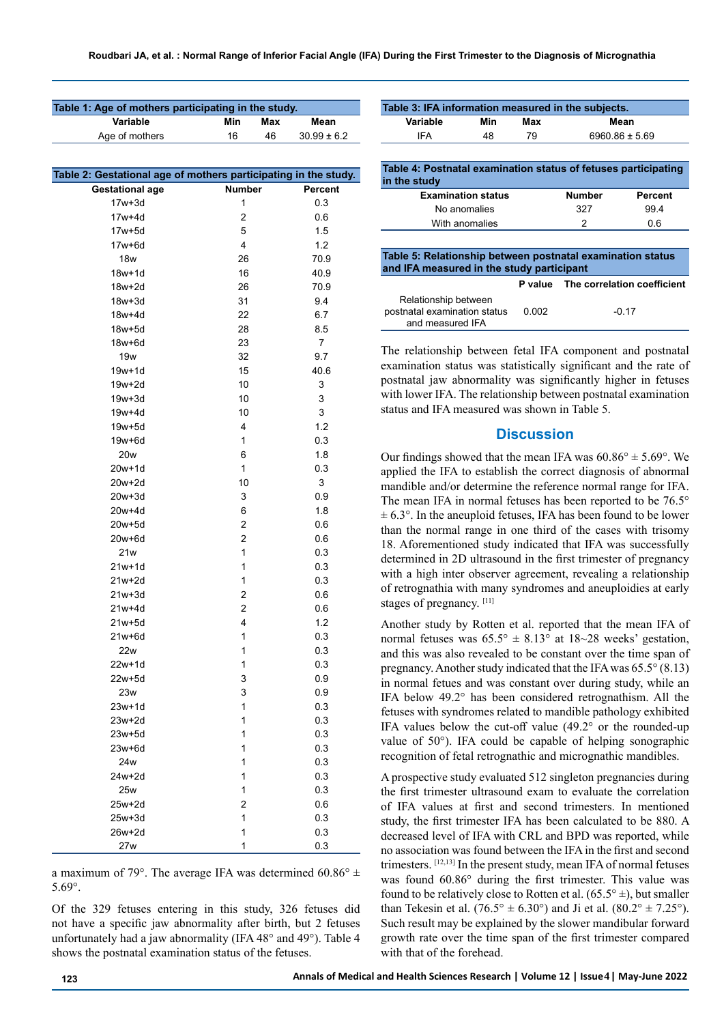| Table 1: Age of mothers participating in the study.             |                |     |                 |  |  |  |
|-----------------------------------------------------------------|----------------|-----|-----------------|--|--|--|
| Variable                                                        | Min            | Max | Mean            |  |  |  |
| Age of mothers                                                  | 16             | 46  | $30.99 \pm 6.2$ |  |  |  |
|                                                                 |                |     |                 |  |  |  |
| Table 2: Gestational age of mothers participating in the study. |                |     |                 |  |  |  |
| <b>Gestational age</b>                                          | <b>Number</b>  |     | <b>Percent</b>  |  |  |  |
| $17w + 3d$                                                      | 1              |     | 0.3             |  |  |  |
| 17w+4d                                                          | 2              |     | 0.6             |  |  |  |
| 17w+5d                                                          | 5              |     | 1.5             |  |  |  |
| 17w+6d                                                          | 4              |     | 1.2             |  |  |  |
| 18w                                                             | 26             |     | 70.9            |  |  |  |
| $18w+1d$                                                        | 16             |     | 40.9            |  |  |  |
| 18w+2d                                                          | 26             |     | 70.9            |  |  |  |
| $18w + 3d$                                                      | 31             |     | 9.4             |  |  |  |
| 18w+4d                                                          | 22             |     | 6.7             |  |  |  |
| 18w+5d                                                          | 28             |     | 8.5             |  |  |  |
| 18w+6d                                                          | 23             |     | $\overline{7}$  |  |  |  |
| 19w                                                             | 32             |     | 9.7             |  |  |  |
| 19w+1d                                                          | 15             |     | 40.6            |  |  |  |
| 19w+2d                                                          | 10             |     | 3               |  |  |  |
| $19w + 3d$                                                      | 10             |     | 3               |  |  |  |
| 19w+4d                                                          | 10             |     | 3               |  |  |  |
| $19w + 5d$                                                      | 4              |     | 1.2             |  |  |  |
| $19w + 6d$                                                      | 1              |     | 0.3             |  |  |  |
| 20w                                                             | 6              |     | 1.8             |  |  |  |
| 20w+1d                                                          | 1              |     | 0.3             |  |  |  |
| 20w+2d                                                          | 10             |     | 3               |  |  |  |
| 20w+3d                                                          | 3              |     | 0.9             |  |  |  |
| 20w+4d                                                          | 6              |     | 1.8             |  |  |  |
| 20w+5d                                                          | 2              |     | 0.6             |  |  |  |
| 20w+6d                                                          | 2              |     | 0.6             |  |  |  |
| 21w                                                             | 1              |     | 0.3             |  |  |  |
| $21w+1d$                                                        | 1              |     | 0.3             |  |  |  |
| $21w+2d$                                                        | 1              |     | 0.3             |  |  |  |
| $21w+3d$                                                        | 2              |     | 0.6             |  |  |  |
| 21w+4d                                                          | $\overline{2}$ |     | 0.6             |  |  |  |
| 21w+5d                                                          | 4              |     | 1.2             |  |  |  |
| $21w+6d$                                                        | 1              |     | 0.3             |  |  |  |
| 22w                                                             | 1              |     | 0.3             |  |  |  |
| 22w+1d                                                          | 1              |     | 0.3             |  |  |  |
| 22w+5d                                                          | 3              |     | 0.9             |  |  |  |
| 23w                                                             | 3              |     | 0.9             |  |  |  |
| 23w+1d                                                          | 1              |     | 0.3             |  |  |  |
| $23w+2d$                                                        | 1              |     | 0.3             |  |  |  |
| 23w+5d                                                          | $\mathbf{1}$   |     | 0.3             |  |  |  |
| 23w+6d                                                          | $\mathbf{1}$   |     | 0.3             |  |  |  |
| 24w                                                             | $\mathbf{1}$   |     | 0.3             |  |  |  |
| 24w+2d                                                          | $\mathbf{1}$   |     | 0.3             |  |  |  |
| 25w                                                             | 1              |     | 0.3             |  |  |  |
| 25w+2d                                                          | 2              |     | 0.6             |  |  |  |
| 25w+3d                                                          | 1              |     | 0.3             |  |  |  |
| 26w+2d                                                          | 1              |     | 0.3             |  |  |  |
| 27w                                                             | 1              |     | 0.3             |  |  |  |

a maximum of 79°. The average IFA was determined 60.86°  $\pm$ 5.69°.

Of the 329 fetuses entering in this study, 326 fetuses did not have a specific jaw abnormality after birth, but 2 fetuses unfortunately had a jaw abnormality (IFA 48° and 49°). Table 4 shows the postnatal examination status of the fetuses.

| Table 3: IFA information measured in the subjects.                       |     |         |                    |                             |  |  |  |
|--------------------------------------------------------------------------|-----|---------|--------------------|-----------------------------|--|--|--|
| Variable                                                                 | Min | Max     | Mean               |                             |  |  |  |
| IFA                                                                      | 48  | 79      | $6960.86 \pm 5.69$ |                             |  |  |  |
|                                                                          |     |         |                    |                             |  |  |  |
| Table 4: Postnatal examination status of fetuses participating           |     |         |                    |                             |  |  |  |
| in the study                                                             |     |         |                    |                             |  |  |  |
| <b>Examination status</b>                                                |     |         | <b>Number</b>      | <b>Percent</b>              |  |  |  |
| No anomalies                                                             |     |         | 327                | 99.4                        |  |  |  |
| With anomalies                                                           |     |         | 2                  | 0.6                         |  |  |  |
|                                                                          |     |         |                    |                             |  |  |  |
| Table 5: Relationship between postnatal examination status               |     |         |                    |                             |  |  |  |
| and IFA measured in the study participant                                |     |         |                    |                             |  |  |  |
|                                                                          |     | P value |                    | The correlation coefficient |  |  |  |
| Relationship between<br>postnatal examination status<br>and measured IFA |     | 0.002   |                    | $-0.17$                     |  |  |  |

The relationship between fetal IFA component and postnatal examination status was statistically significant and the rate of postnatal jaw abnormality was significantly higher in fetuses with lower IFA. The relationship between postnatal examination status and IFA measured was shown in Table 5.

## **Discussion**

Our findings showed that the mean IFA was  $60.86^{\circ} \pm 5.69^{\circ}$ . We applied the IFA to establish the correct diagnosis of abnormal mandible and/or determine the reference normal range for IFA. The mean IFA in normal fetuses has been reported to be 76.5°  $\pm$  6.3°. In the aneuploid fetuses, IFA has been found to be lower than the normal range in one third of the cases with trisomy 18. Aforementioned study indicated that IFA was successfully determined in 2D ultrasound in the first trimester of pregnancy with a high inter observer agreement, revealing a relationship of retrognathia with many syndromes and aneuploidies at early stages of pregnancy. [11]

Another study by Rotten et al. reported that the mean IFA of normal fetuses was  $65.5^{\circ} \pm 8.13^{\circ}$  at  $18{\sim}28$  weeks' gestation, and this was also revealed to be constant over the time span of pregnancy. Another study indicated that the IFA was 65.5° (8.13) in normal fetues and was constant over during study, while an IFA below 49.2° has been considered retrognathism. All the fetuses with syndromes related to mandible pathology exhibited IFA values below the cut-off value (49.2° or the rounded-up value of 50°). IFA could be capable of helping sonographic recognition of fetal retrognathic and micrognathic mandibles.

A prospective study evaluated 512 singleton pregnancies during the first trimester ultrasound exam to evaluate the correlation of IFA values at first and second trimesters. In mentioned study, the first trimester IFA has been calculated to be 880. A decreased level of IFA with CRL and BPD was reported, while no association was found between the IFA in the first and second trimesters. [12,13] In the present study, mean IFA of normal fetuses was found 60.86° during the first trimester. This value was found to be relatively close to Rotten et al.  $(65.5^{\circ} \pm)$ , but smaller than Tekesin et al. (76.5°  $\pm$  6.30°) and Ji et al. (80.2°  $\pm$  7.25°). Such result may be explained by the slower mandibular forward growth rate over the time span of the first trimester compared with that of the forehead.